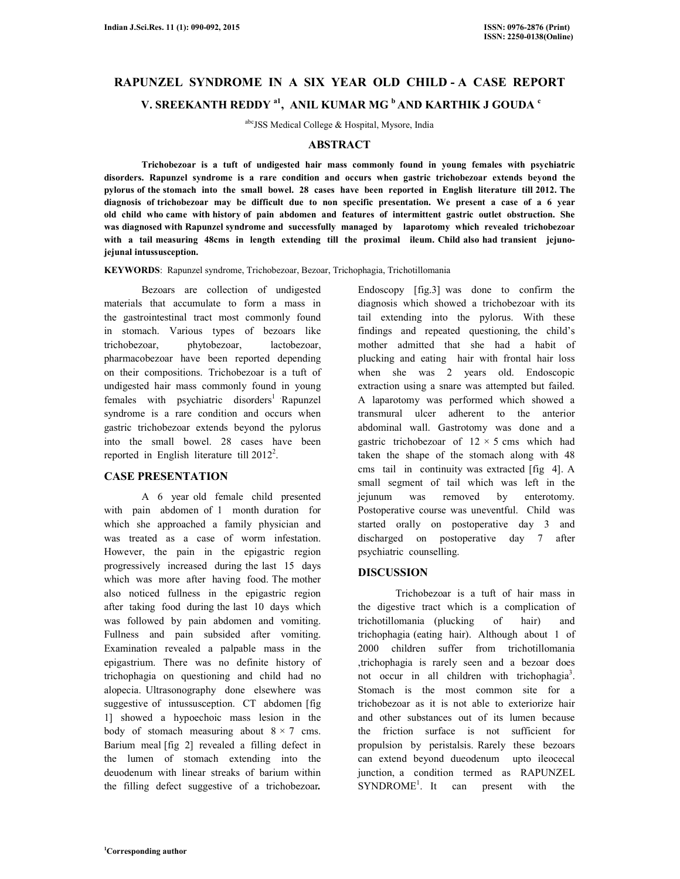# **RAPUNZEL SYNDROME IN A SIX YEAR OLD CHILD - A CASE REPORT V. SREEKANTH REDDY a1, ANIL KUMAR MG <sup>b</sup>AND KARTHIK J GOUDA <sup>c</sup>**

abcJSS Medical College & Hospital, Mysore, India

#### **ABSTRACT**

 **Trichobezoar is a tuft of undigested hair mass commonly found in young females with psychiatric disorders. Rapunzel syndrome is a rare condition and occurs when gastric trichobezoar extends beyond the pylorus of the stomach into the small bowel. 28 cases have been reported in English literature till 2012. The diagnosis of trichobezoar may be difficult due to non specific presentation. We present a case of a 6 year old child who came with history of pain abdomen and features of intermittent gastric outlet obstruction. She was diagnosed with Rapunzel syndrome and successfully managed by laparotomy which revealed trichobezoar with a tail measuring 48cms in length extending till the proximal ileum. Child also had transient jejunojejunal intussusception.** 

**KEYWORDS**: Rapunzel syndrome, Trichobezoar, Bezoar, Trichophagia, Trichotillomania

 Bezoars are collection of undigested materials that accumulate to form a mass in the gastrointestinal tract most commonly found in stomach. Various types of bezoars like trichobezoar, phytobezoar, lactobezoar, pharmacobezoar have been reported depending on their compositions. Trichobezoar is a tuft of undigested hair mass commonly found in young  $f$  females with psychiatric disorders<sup>1</sup> Rapunzel syndrome is a rare condition and occurs when gastric trichobezoar extends beyond the pylorus into the small bowel. 28 cases have been reported in English literature till  $2012^2$ .

## **CASE PRESENTATION**

 A 6 year old female child presented with pain abdomen of 1 month duration for which she approached a family physician and was treated as a case of worm infestation. However, the pain in the epigastric region progressively increased during the last 15 days which was more after having food. The mother also noticed fullness in the epigastric region after taking food during the last 10 days which was followed by pain abdomen and vomiting. Fullness and pain subsided after vomiting. Examination revealed a palpable mass in the epigastrium. There was no definite history of trichophagia on questioning and child had no alopecia. Ultrasonography done elsewhere was suggestive of intussusception. CT abdomen [fig 1] showed a hypoechoic mass lesion in the body of stomach measuring about  $8 \times 7$  cms. Barium meal [fig 2] revealed a filling defect in the lumen of stomach extending into the deuodenum with linear streaks of barium within the filling defect suggestive of a trichobezoar*.* 

Endoscopy [fig.3] was done to confirm the diagnosis which showed a trichobezoar with its tail extending into the pylorus. With these findings and repeated questioning, the child's mother admitted that she had a habit of plucking and eating hair with frontal hair loss when she was 2 years old. Endoscopic extraction using a snare was attempted but failed. A laparotomy was performed which showed a transmural ulcer adherent to the anterior abdominal wall. Gastrotomy was done and a gastric trichobezoar of  $12 \times 5$  cms which had taken the shape of the stomach along with 48 cms tail in continuity was extracted [fig 4]. A small segment of tail which was left in the jejunum was removed by enterotomy. Postoperative course was uneventful. Child was started orally on postoperative day 3 and discharged on postoperative day 7 after psychiatric counselling.

## **DISCUSSION**

 Trichobezoar is a tuft of hair mass in the digestive tract which is a complication of trichotillomania (plucking of hair) and trichophagia (eating hair). Although about 1 of 2000 children suffer from trichotillomania ,trichophagia is rarely seen and a bezoar does not occur in all children with trichophagia<sup>3</sup>. Stomach is the most common site for a trichobezoar as it is not able to exteriorize hair and other substances out of its lumen because the friction surface is not sufficient for propulsion by peristalsis. Rarely these bezoars can extend beyond dueodenum upto ileocecal junction, a condition termed as RAPUNZEL  $SYNDROME<sup>1</sup>$ . It can present with the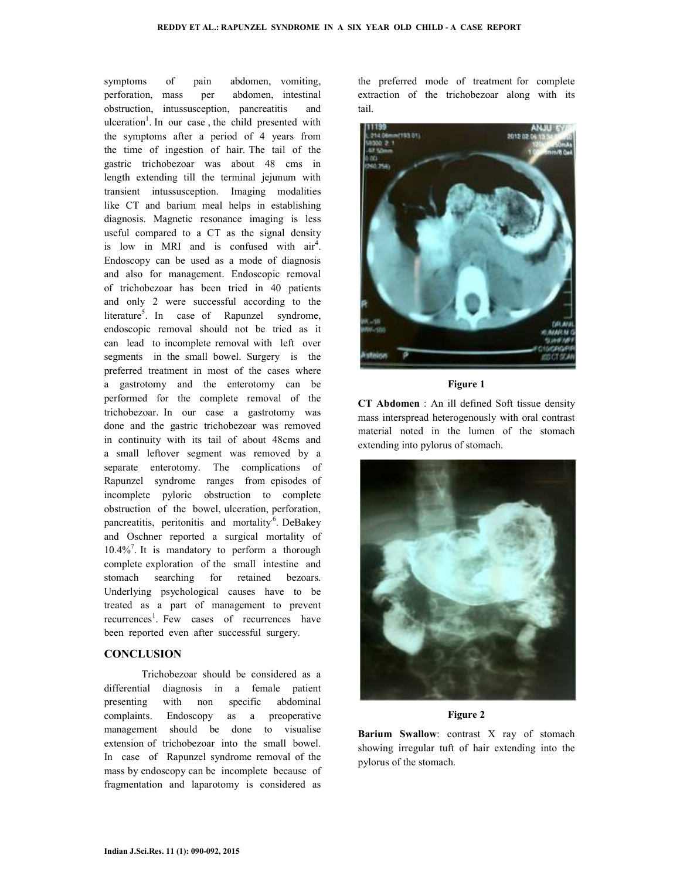symptoms of pain abdomen, vomiting, perforation, mass per abdomen, intestinal obstruction, intussusception, pancreatitis and ulceration<sup>1</sup>. In our case, the child presented with the symptoms after a period of 4 years from the time of ingestion of hair. The tail of the gastric trichobezoar was about 48 cms in length extending till the terminal jejunum with transient intussusception. Imaging modalities like CT and barium meal helps in establishing diagnosis. Magnetic resonance imaging is less useful compared to a CT as the signal density is low in MRI and is confused with  $air<sup>4</sup>$ . Endoscopy can be used as a mode of diagnosis and also for management. Endoscopic removal of trichobezoar has been tried in 40 patients and only 2 were successful according to the literature<sup>5</sup>. In case of Rapunzel syndrome, endoscopic removal should not be tried as it can lead to incomplete removal with left over segments in the small bowel. Surgery is the preferred treatment in most of the cases where a gastrotomy and the enterotomy can be performed for the complete removal of the trichobezoar. In our case a gastrotomy was done and the gastric trichobezoar was removed in continuity with its tail of about 48cms and a small leftover segment was removed by a separate enterotomy. The complications of Rapunzel syndrome ranges from episodes of incomplete pyloric obstruction to complete obstruction of the bowel, ulceration, perforation, pancreatitis, peritonitis and mortality<sup>6</sup>. DeBakey and Oschner reported a surgical mortality of 10.4%<sup>7</sup> . It is mandatory to perform a thorough complete exploration of the small intestine and stomach searching for retained bezoars. Underlying psychological causes have to be treated as a part of management to prevent recurrences<sup>1</sup>. Few cases of recurrences have been reported even after successful surgery.

### **CONCLUSION**

 Trichobezoar should be considered as a differential diagnosis in a female patient presenting with non specific abdominal complaints. Endoscopy as a preoperative management should be done to visualise extension of trichobezoar into the small bowel. In case of Rapunzel syndrome removal of the mass by endoscopy can be incomplete because of fragmentation and laparotomy is considered as

the preferred mode of treatment for complete extraction of the trichobezoar along with its tail.



### **Figure 1**

**CT Abdomen** : An ill defined Soft tissue density mass interspread heterogenously with oral contrast material noted in the lumen of the stomach extending into pylorus of stomach.



#### **Figure 2**

**Barium Swallow**: contrast X ray of stomach showing irregular tuft of hair extending into the pylorus of the stomach.